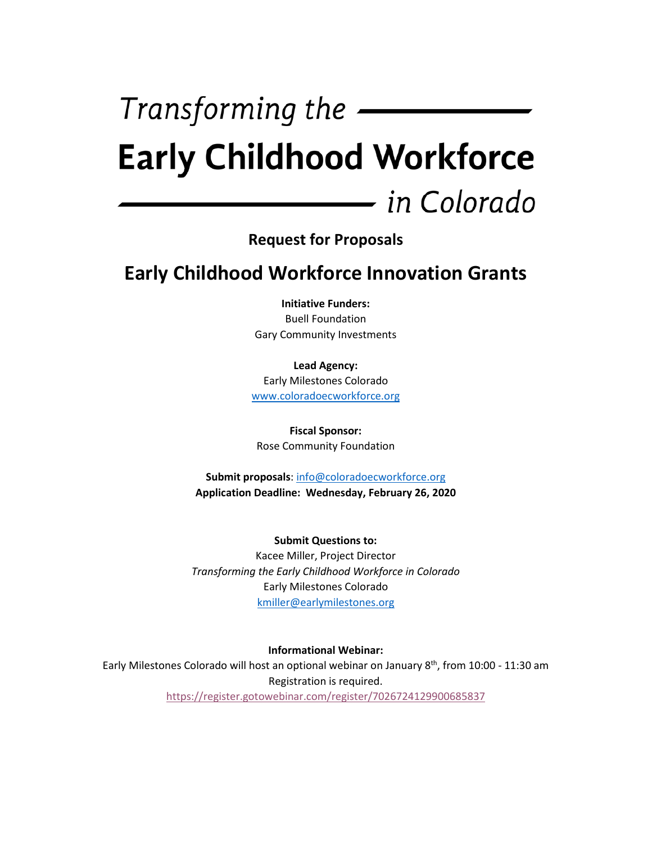# Transforming the  $-$ **Early Childhood Workforce** — in Colorado

**Request for Proposals**

**Early Childhood Workforce Innovation Grants**

**Initiative Funders:** Buell Foundation Gary Community Investments

**Lead Agency:**  Early Milestones Colorado [www.coloradoecworkforce.org](http://www.coloradoecworkforce.org/)

**Fiscal Sponsor:**  Rose Community Foundation

**Submit proposals**: [info@coloradoecworkforce.org](mailto:info@coloradoecworkforce.org) **Application Deadline: Wednesday, February 26, 2020**

**Submit Questions to:**  Kacee Miller, Project Director *Transforming the Early Childhood Workforce in Colorado* Early Milestones Colorado kmiller@earlymilestones.org

**Informational Webinar:** 

Early Milestones Colorado will host an optional webinar on January 8<sup>th</sup>, from 10:00 - 11:30 am Registration is required. <https://register.gotowebinar.com/register/7026724129900685837>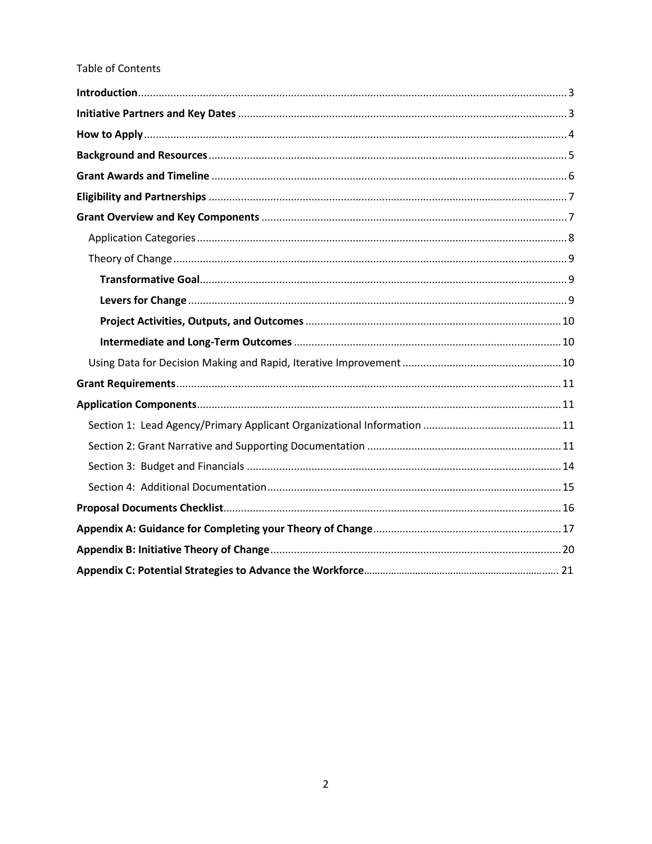#### Table of Contents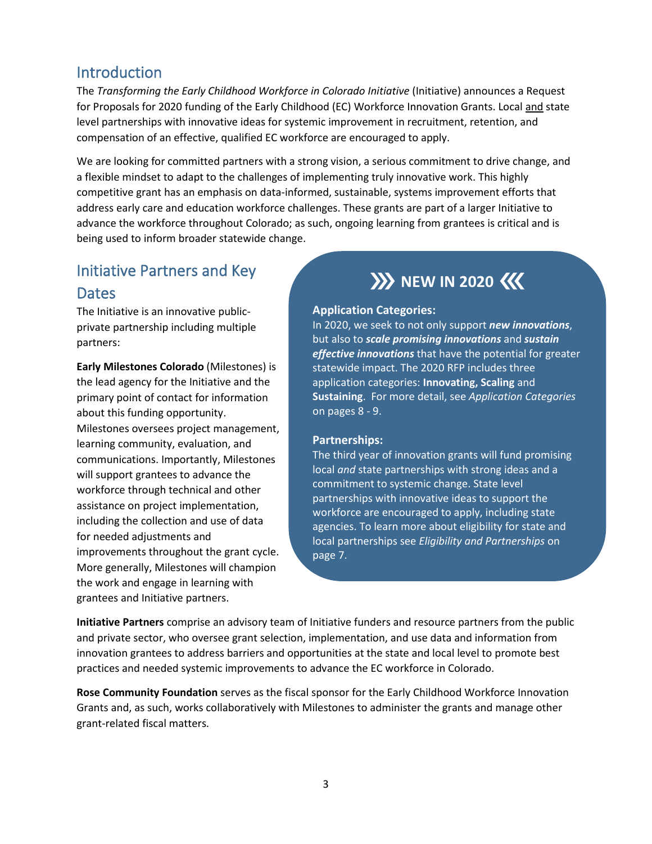### <span id="page-2-0"></span>Introduction

The *Transforming the Early Childhood Workforce in Colorado Initiative* (Initiative) announces a Request for Proposals for 2020 funding of the Early Childhood (EC) Workforce Innovation Grants. Local and state level partnerships with innovative ideas for systemic improvement in recruitment, retention, and compensation of an effective, qualified EC workforce are encouraged to apply.

We are looking for committed partners with a strong vision, a serious commitment to drive change, and a flexible mindset to adapt to the challenges of implementing truly innovative work. This highly competitive grant has an emphasis on data-informed, sustainable, systems improvement efforts that address early care and education workforce challenges. These grants are part of a larger Initiative to advance the workforce throughout Colorado; as such, ongoing learning from grantees is critical and is being used to inform broader statewide change.

# <span id="page-2-1"></span>Initiative Partners and Key **Dates**

The Initiative is an innovative publicprivate partnership including multiple partners:

**Early Milestones Colorado** (Milestones) is the lead agency for the Initiative and the primary point of contact for information about this funding opportunity. Milestones oversees project management, learning community, evaluation, and communications. Importantly, Milestones will support grantees to advance the workforce through technical and other assistance on project implementation, including the collection and use of data for needed adjustments and improvements throughout the grant cycle. More generally, Milestones will champion the work and engage in learning with grantees and Initiative partners.

# **XX** NEW IN 2020 <<

#### **Application Categories:**

In 2020, we seek to not only support *new innovations*, but also to *scale promising innovations* and *sustain effective innovations* that have the potential for greater statewide impact. The 2020 RFP includes three application categories: **Innovating, Scaling** and **Sustaining**. For more detail, see *Application Categories* on pages 8 - 9.

#### **Partnerships:**

The third year of innovation grants will fund promising local *and* state partnerships with strong ideas and a commitment to systemic change. State level partnerships with innovative ideas to support the workforce are encouraged to apply, including state agencies. To learn more about eligibility for state and local partnerships see *Eligibility and Partnerships* on page 7.

**Initiative Partners** comprise an advisory team of Initiative funders and resource partners from the public and private sector, who oversee grant selection, implementation, and use data and information from innovation grantees to address barriers and opportunities at the state and local level to promote best practices and needed systemic improvements to advance the EC workforce in Colorado.

**Rose Community Foundation** serves as the fiscal sponsor for the Early Childhood Workforce Innovation Grants and, as such, works collaboratively with Milestones to administer the grants and manage other grant-related fiscal matters.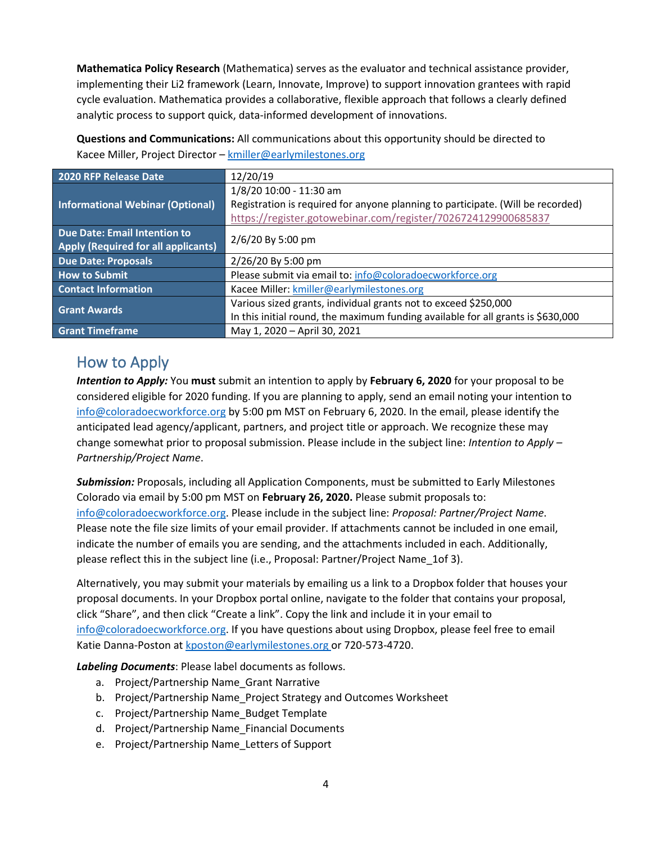**Mathematica Policy Research** (Mathematica) serves as the evaluator and technical assistance provider, implementing their Li2 framework (Learn, Innovate, Improve) to support innovation grantees with rapid cycle evaluation. Mathematica provides a collaborative, flexible approach that follows a clearly defined analytic process to support quick, data-informed development of innovations.

**Questions and Communications:** All communications about this opportunity should be directed to Kacee Miller, Project Director – [kmiller@earlymilestones.org](mailto:kmiller@earlymilestones.org)

| 2020 RFP Release Date                      | 12/20/19                                                                         |  |
|--------------------------------------------|----------------------------------------------------------------------------------|--|
|                                            | 1/8/20 10:00 - 11:30 am                                                          |  |
| Informational Webinar (Optional)           | Registration is required for anyone planning to participate. (Will be recorded)  |  |
|                                            | https://register.gotowebinar.com/register/7026724129900685837                    |  |
| Due Date: Email Intention to               | 2/6/20 By 5:00 pm                                                                |  |
| <b>Apply (Required for all applicants)</b> |                                                                                  |  |
| <b>Due Date: Proposals</b>                 | 2/26/20 By 5:00 pm                                                               |  |
| <b>How to Submit</b>                       | Please submit via email to: info@coloradoecworkforce.org                         |  |
| <b>Contact Information</b>                 | Kacee Miller: kmiller@earlymilestones.org                                        |  |
| <b>Grant Awards</b>                        | Various sized grants, individual grants not to exceed \$250,000                  |  |
|                                            | In this initial round, the maximum funding available for all grants is \$630,000 |  |
| <b>Grant Timeframe</b>                     | May 1, 2020 - April 30, 2021                                                     |  |

<span id="page-3-0"></span>How to Apply

*Intention to Apply:* You **must** submit an intention to apply by **February 6, 2020** for your proposal to be considered eligible for 2020 funding. If you are planning to apply, send an email noting your intention to [info@coloradoecworkforce.org](mailto:info@coloradoecworkforce.org) by 5:00 pm MST on February 6, 2020. In the email, please identify the anticipated lead agency/applicant, partners, and project title or approach. We recognize these may change somewhat prior to proposal submission. Please include in the subject line: *Intention to Apply – Partnership/Project Name*.

*Submission:* Proposals, including all Application Components, must be submitted to Early Milestones Colorado via email by 5:00 pm MST on **February 26, 2020.** Please submit proposals to: [info@coloradoecworkforce.org.](mailto:info@coloradoecworkforce.org) Please include in the subject line: *Proposal: Partner/Project Name*. Please note the file size limits of your email provider. If attachments cannot be included in one email, indicate the number of emails you are sending, and the attachments included in each. Additionally, please reflect this in the subject line (i.e., Proposal: Partner/Project Name\_1of 3).

Alternatively, you may submit your materials by emailing us a link to a Dropbox folder that houses your proposal documents. In your Dropbox portal online, navigate to the folder that contains your proposal, click "Share", and then click "Create a link". Copy the link and include it in your email to [info@coloradoecworkforce.org.](mailto:info@coloradoecworkforce.org) If you have questions about using Dropbox, please feel free to email Katie Danna-Poston at [kposton@earlymilestones.org](mailto:kposton@earlymilestones.org) or 720-573-4720.

*Labeling Documents*: Please label documents as follows.

- a. Project/Partnership Name Grant Narrative
- b. Project/Partnership Name\_Project Strategy and Outcomes Worksheet
- c. Project/Partnership Name\_Budget Template
- d. Project/Partnership Name\_Financial Documents
- e. Project/Partnership Name\_Letters of Support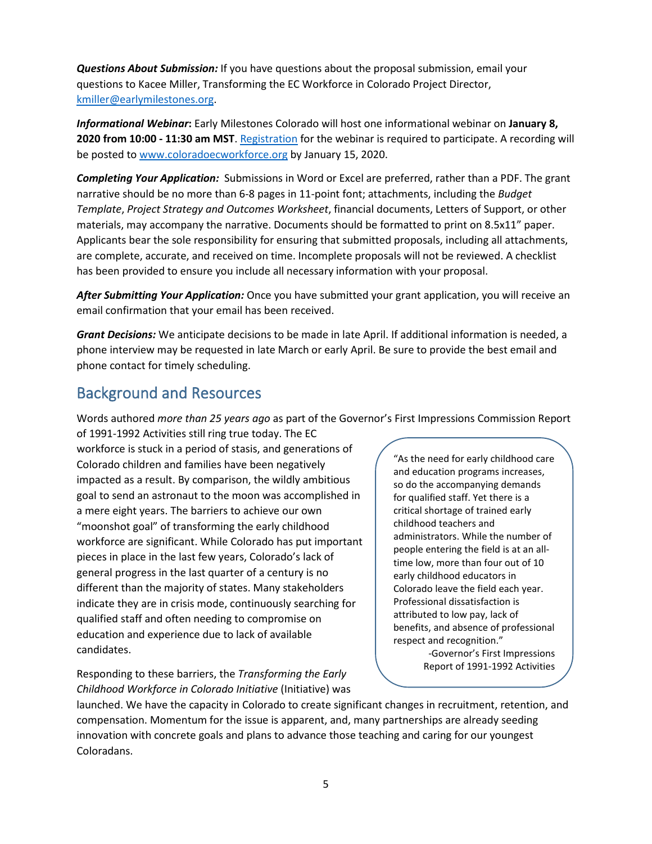*Questions About Submission:* If you have questions about the proposal submission, email your questions to Kacee Miller, Transforming the EC Workforce in Colorado Project Director, [kmiller@earlymilestones.org.](mailto:kmiller@earlymilestones.org)

*Informational Webinar***:** Early Milestones Colorado will host one informational webinar on **January 8, 2020 from 10:00 - 11:30 am MST**[. Registration](https://register.gotowebinar.com/register/5710429483185676291) for the webinar is required to participate. A recording will be posted to [www.coloradoecworkforce.org](http://www.coloradoecworkforce.org/) by January 15, 2020.

*Completing Your Application:* Submissions in Word or Excel are preferred, rather than a PDF. The grant narrative should be no more than 6-8 pages in 11-point font; attachments, including the *Budget Template*, *Project Strategy and Outcomes Worksheet*, financial documents, Letters of Support, or other materials, may accompany the narrative. Documents should be formatted to print on 8.5x11" paper. Applicants bear the sole responsibility for ensuring that submitted proposals, including all attachments, are complete, accurate, and received on time. Incomplete proposals will not be reviewed. A checklist has been provided to ensure you include all necessary information with your proposal.

*After Submitting Your Application:* Once you have submitted your grant application, you will receive an email confirmation that your email has been received.

*Grant Decisions:* We anticipate decisions to be made in late April. If additional information is needed, a phone interview may be requested in late March or early April. Be sure to provide the best email and phone contact for timely scheduling.

# <span id="page-4-0"></span>Background and Resources

Words authored *more than 25 years ago* as part of the Governor's First Impressions Commission Report

of 1991-1992 Activities still ring true today. The EC workforce is stuck in a period of stasis, and generations of Colorado children and families have been negatively impacted as a result. By comparison, the wildly ambitious goal to send an astronaut to the moon was accomplished in a mere eight years. The barriers to achieve our own "moonshot goal" of transforming the early childhood workforce are significant. While Colorado has put important pieces in place in the last few years, Colorado's lack of general progress in the last quarter of a century is no different than the majority of states. Many stakeholders indicate they are in crisis mode, continuously searching for qualified staff and often needing to compromise on education and experience due to lack of available candidates.

Responding to these barriers, the *Transforming the Early Childhood Workforce in Colorado Initiative* (Initiative) was "As the need for early childhood care and education programs increases, so do the accompanying demands for qualified staff. Yet there is a critical shortage of trained early childhood teachers and administrators. While the number of people entering the field is at an alltime low, more than four out of 10 early childhood educators in Colorado leave the field each year. Professional dissatisfaction is attributed to low pay, lack of benefits, and absence of professional respect and recognition." -Governor's First Impressions

Report of 1991-1992 Activities

launched. We have the capacity in Colorado to create significant changes in recruitment, retention, and compensation. Momentum for the issue is apparent, and, many partnerships are already seeding innovation with concrete goals and plans to advance those teaching and caring for our youngest Coloradans.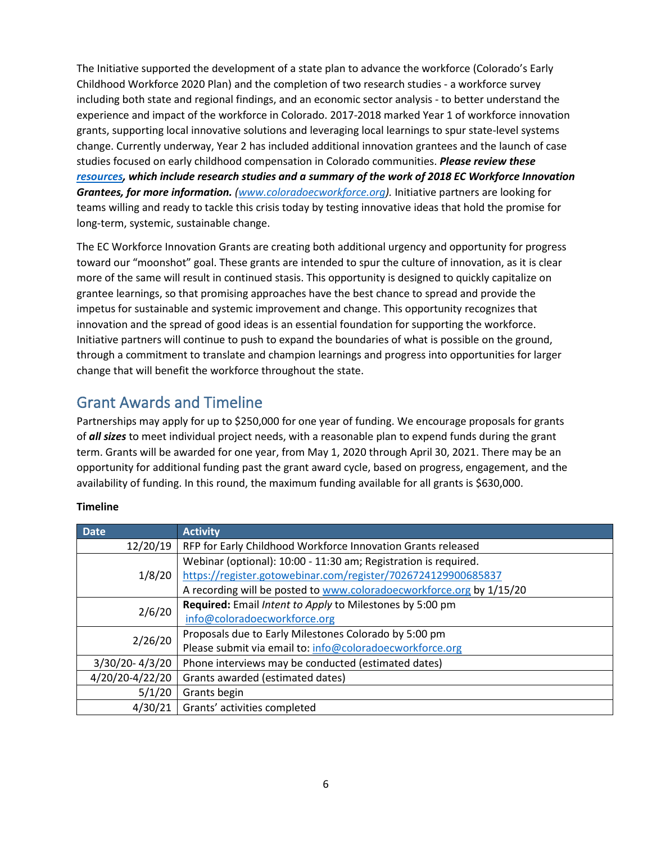The Initiative supported the development of a state plan to advance the workforce (Colorado's Early Childhood Workforce 2020 Plan) and the completion of two research studies - a workforce survey including both state and regional findings, and an economic sector analysis - to better understand the experience and impact of the workforce in Colorado. 2017-2018 marked Year 1 of workforce innovation grants, supporting local innovative solutions and leveraging local learnings to spur state-level systems change. Currently underway, Year 2 has included additional innovation grantees and the launch of case studies focused on early childhood compensation in Colorado communities. *Please review these [resources,](http://www.coloradoecworkforce.org/) which include research studies and a summary of the work of 2018 EC Workforce Innovation Grantees, for more information. [\(www.coloradoecworkforce.org\)](http://www.coloradoecworkforce.org/).* Initiative partners are looking for teams willing and ready to tackle this crisis today by testing innovative ideas that hold the promise for long-term, systemic, sustainable change.

The EC Workforce Innovation Grants are creating both additional urgency and opportunity for progress toward our "moonshot" goal. These grants are intended to spur the culture of innovation, as it is clear more of the same will result in continued stasis. This opportunity is designed to quickly capitalize on grantee learnings, so that promising approaches have the best chance to spread and provide the impetus for sustainable and systemic improvement and change. This opportunity recognizes that innovation and the spread of good ideas is an essential foundation for supporting the workforce. Initiative partners will continue to push to expand the boundaries of what is possible on the ground, through a commitment to translate and champion learnings and progress into opportunities for larger change that will benefit the workforce throughout the state.

## <span id="page-5-0"></span>Grant Awards and Timeline

Partnerships may apply for up to \$250,000 for one year of funding. We encourage proposals for grants of *all sizes* to meet individual project needs, with a reasonable plan to expend funds during the grant term. Grants will be awarded for one year, from May 1, 2020 through April 30, 2021. There may be an opportunity for additional funding past the grant award cycle, based on progress, engagement, and the availability of funding. In this round, the maximum funding available for all grants is \$630,000.

| <b>Date</b>     | <b>Activity</b>                                                      |
|-----------------|----------------------------------------------------------------------|
| 12/20/19        | RFP for Early Childhood Workforce Innovation Grants released         |
|                 | Webinar (optional): 10:00 - 11:30 am; Registration is required.      |
| 1/8/20          | https://register.gotowebinar.com/register/7026724129900685837        |
|                 | A recording will be posted to www.coloradoecworkforce.org by 1/15/20 |
| 2/6/20          | Required: Email Intent to Apply to Milestones by 5:00 pm             |
|                 | info@coloradoecworkforce.org                                         |
| 2/26/20         | Proposals due to Early Milestones Colorado by 5:00 pm                |
|                 | Please submit via email to: info@coloradoecworkforce.org             |
| 3/30/20-4/3/20  | Phone interviews may be conducted (estimated dates)                  |
| 4/20/20-4/22/20 | Grants awarded (estimated dates)                                     |
| 5/1/20          | Grants begin                                                         |
| 4/30/21         | Grants' activities completed                                         |

#### **Timeline**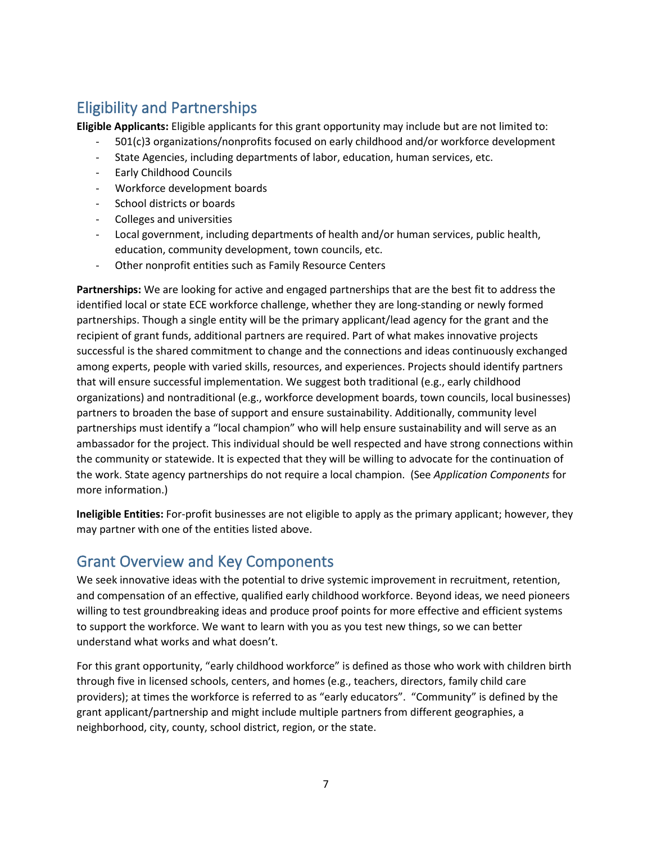# <span id="page-6-0"></span>Eligibility and Partnerships

**Eligible Applicants:** Eligible applicants for this grant opportunity may include but are not limited to:

- 501(c)3 organizations/nonprofits focused on early childhood and/or workforce development
- State Agencies, including departments of labor, education, human services, etc.
- Early Childhood Councils
- Workforce development boards
- School districts or boards
- Colleges and universities
- Local government, including departments of health and/or human services, public health, education, community development, town councils, etc.
- Other nonprofit entities such as Family Resource Centers

**Partnerships:** We are looking for active and engaged partnerships that are the best fit to address the identified local or state ECE workforce challenge, whether they are long-standing or newly formed partnerships. Though a single entity will be the primary applicant/lead agency for the grant and the recipient of grant funds, additional partners are required. Part of what makes innovative projects successful is the shared commitment to change and the connections and ideas continuously exchanged among experts, people with varied skills, resources, and experiences. Projects should identify partners that will ensure successful implementation. We suggest both traditional (e.g., early childhood organizations) and nontraditional (e.g., workforce development boards, town councils, local businesses) partners to broaden the base of support and ensure sustainability. Additionally, community level partnerships must identify a "local champion" who will help ensure sustainability and will serve as an ambassador for the project. This individual should be well respected and have strong connections within the community or statewide. It is expected that they will be willing to advocate for the continuation of the work. State agency partnerships do not require a local champion. (See *Application Components* for more information.)

**Ineligible Entities:** For-profit businesses are not eligible to apply as the primary applicant; however, they may partner with one of the entities listed above.

### <span id="page-6-1"></span>Grant Overview and Key Components

We seek innovative ideas with the potential to drive systemic improvement in recruitment, retention, and compensation of an effective, qualified early childhood workforce. Beyond ideas, we need pioneers willing to test groundbreaking ideas and produce proof points for more effective and efficient systems to support the workforce. We want to learn with you as you test new things, so we can better understand what works and what doesn't.

For this grant opportunity, "early childhood workforce" is defined as those who work with children birth through five in licensed schools, centers, and homes (e.g., teachers, directors, family child care providers); at times the workforce is referred to as "early educators". "Community" is defined by the grant applicant/partnership and might include multiple partners from different geographies, a neighborhood, city, county, school district, region, or the state.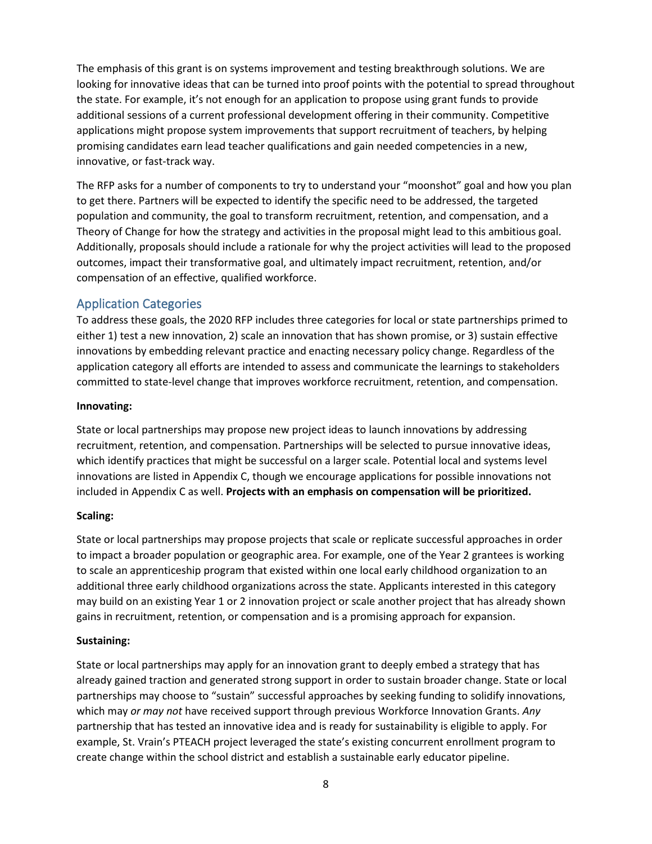The emphasis of this grant is on systems improvement and testing breakthrough solutions. We are looking for innovative ideas that can be turned into proof points with the potential to spread throughout the state. For example, it's not enough for an application to propose using grant funds to provide additional sessions of a current professional development offering in their community. Competitive applications might propose system improvements that support recruitment of teachers, by helping promising candidates earn lead teacher qualifications and gain needed competencies in a new, innovative, or fast-track way.

The RFP asks for a number of components to try to understand your "moonshot" goal and how you plan to get there. Partners will be expected to identify the specific need to be addressed, the targeted population and community, the goal to transform recruitment, retention, and compensation, and a Theory of Change for how the strategy and activities in the proposal might lead to this ambitious goal. Additionally, proposals should include a rationale for why the project activities will lead to the proposed outcomes, impact their transformative goal, and ultimately impact recruitment, retention, and/or compensation of an effective, qualified workforce.

#### <span id="page-7-0"></span>Application Categories

To address these goals, the 2020 RFP includes three categories for local or state partnerships primed to either 1) test a new innovation, 2) scale an innovation that has shown promise, or 3) sustain effective innovations by embedding relevant practice and enacting necessary policy change. Regardless of the application category all efforts are intended to assess and communicate the learnings to stakeholders committed to state-level change that improves workforce recruitment, retention, and compensation.

#### **Innovating:**

State or local partnerships may propose new project ideas to launch innovations by addressing recruitment, retention, and compensation. Partnerships will be selected to pursue innovative ideas, which identify practices that might be successful on a larger scale. Potential local and systems level innovations are listed in Appendix C, though we encourage applications for possible innovations not included in Appendix C as well. **Projects with an emphasis on compensation will be prioritized.** 

#### **Scaling:**

State or local partnerships may propose projects that scale or replicate successful approaches in order to impact a broader population or geographic area. For example, one of the Year 2 grantees is working to scale an apprenticeship program that existed within one local early childhood organization to an additional three early childhood organizations across the state. Applicants interested in this category may build on an existing Year 1 or 2 innovation project or scale another project that has already shown gains in recruitment, retention, or compensation and is a promising approach for expansion.

#### **Sustaining:**

State or local partnerships may apply for an innovation grant to deeply embed a strategy that has already gained traction and generated strong support in order to sustain broader change. State or local partnerships may choose to "sustain" successful approaches by seeking funding to solidify innovations, which may *or may not* have received support through previous Workforce Innovation Grants. *Any* partnership that has tested an innovative idea and is ready for sustainability is eligible to apply. For example, St. Vrain's PTEACH project leveraged the state's existing concurrent enrollment program to create change within the school district and establish a sustainable early educator pipeline.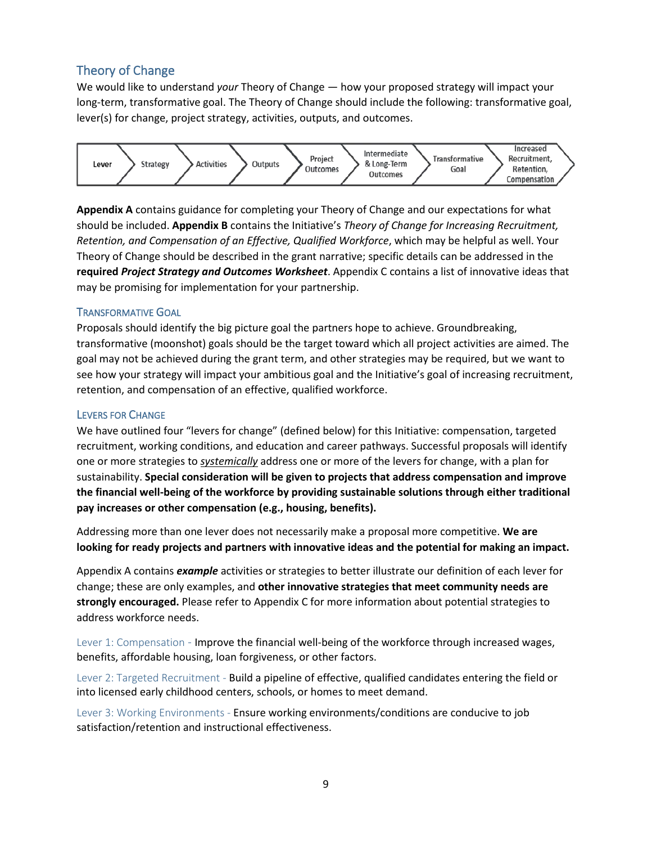#### <span id="page-8-0"></span>Theory of Change

We would like to understand *your* Theory of Change — how your proposed strategy will impact your long-term, transformative goal. The Theory of Change should include the following: transformative goal, lever(s) for change, project strategy, activities, outputs, and outcomes.



**Appendix A** contains guidance for completing your Theory of Change and our expectations for what should be included. **Appendix B** contains the Initiative's *Theory of Change for Increasing Recruitment, Retention, and Compensation of an Effective, Qualified Workforce*, which may be helpful as well. Your Theory of Change should be described in the grant narrative; specific details can be addressed in the **required** *Project Strategy and Outcomes Worksheet*. Appendix C contains a list of innovative ideas that may be promising for implementation for your partnership.

#### <span id="page-8-1"></span>TRANSFORMATIVE GOAL

Proposals should identify the big picture goal the partners hope to achieve. Groundbreaking, transformative (moonshot) goals should be the target toward which all project activities are aimed. The goal may not be achieved during the grant term, and other strategies may be required, but we want to see how your strategy will impact your ambitious goal and the Initiative's goal of increasing recruitment, retention, and compensation of an effective, qualified workforce.

#### <span id="page-8-2"></span>LEVERS FOR CHANGE

We have outlined four "levers for change" (defined below) for this Initiative: compensation, targeted recruitment, working conditions, and education and career pathways. Successful proposals will identify one or more strategies to *systemically* address one or more of the levers for change, with a plan for sustainability. **Special consideration will be given to projects that address compensation and improve the financial well-being of the workforce by providing sustainable solutions through either traditional pay increases or other compensation (e.g., housing, benefits).**

Addressing more than one lever does not necessarily make a proposal more competitive. **We are looking for ready projects and partners with innovative ideas and the potential for making an impact.** 

Appendix A contains *example* activities or strategies to better illustrate our definition of each lever for change; these are only examples, and **other innovative strategies that meet community needs are strongly encouraged.** Please refer to Appendix C for more information about potential strategies to address workforce needs.

Lever 1: Compensation - Improve the financial well-being of the workforce through increased wages, benefits, affordable housing, loan forgiveness, or other factors.

Lever 2: Targeted Recruitment - Build a pipeline of effective, qualified candidates entering the field or into licensed early childhood centers, schools, or homes to meet demand.

Lever 3: Working Environments - Ensure working environments/conditions are conducive to job satisfaction/retention and instructional effectiveness.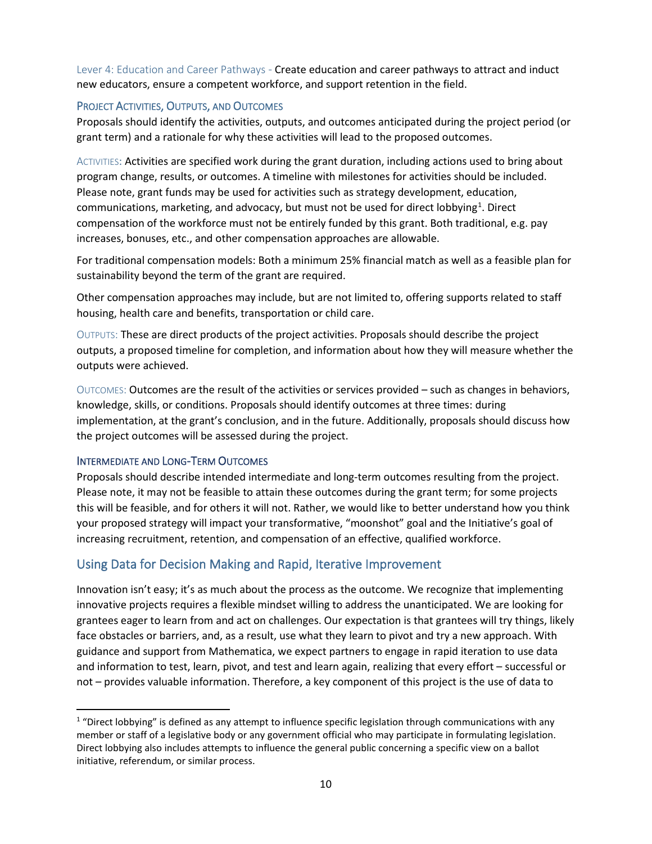Lever 4: Education and Career Pathways - Create education and career pathways to attract and induct new educators, ensure a competent workforce, and support retention in the field.

#### <span id="page-9-0"></span>PROJECT ACTIVITIES, OUTPUTS, AND OUTCOMES

Proposals should identify the activities, outputs, and outcomes anticipated during the project period (or grant term) and a rationale for why these activities will lead to the proposed outcomes.

ACTIVITIES: Activities are specified work during the grant duration, including actions used to bring about program change, results, or outcomes. A timeline with milestones for activities should be included. Please note, grant funds may be used for activities such as strategy development, education, communications, marketing, and advocacy, but must not be used for direct lobbying<sup>[1](#page-9-3)</sup>. Direct compensation of the workforce must not be entirely funded by this grant. Both traditional, e.g. pay increases, bonuses, etc., and other compensation approaches are allowable.

For traditional compensation models: Both a minimum 25% financial match as well as a feasible plan for sustainability beyond the term of the grant are required.

Other compensation approaches may include, but are not limited to, offering supports related to staff housing, health care and benefits, transportation or child care.

OUTPUTS: These are direct products of the project activities. Proposals should describe the project outputs, a proposed timeline for completion, and information about how they will measure whether the outputs were achieved.

OUTCOMES: Outcomes are the result of the activities or services provided – such as changes in behaviors, knowledge, skills, or conditions. Proposals should identify outcomes at three times: during implementation, at the grant's conclusion, and in the future. Additionally, proposals should discuss how the project outcomes will be assessed during the project.

#### <span id="page-9-1"></span>INTERMEDIATE AND LONG-TERM OUTCOMES

Proposals should describe intended intermediate and long-term outcomes resulting from the project. Please note, it may not be feasible to attain these outcomes during the grant term; for some projects this will be feasible, and for others it will not. Rather, we would like to better understand how you think your proposed strategy will impact your transformative, "moonshot" goal and the Initiative's goal of increasing recruitment, retention, and compensation of an effective, qualified workforce.

#### <span id="page-9-2"></span>Using Data for Decision Making and Rapid, Iterative Improvement

Innovation isn't easy; it's as much about the process as the outcome. We recognize that implementing innovative projects requires a flexible mindset willing to address the unanticipated. We are looking for grantees eager to learn from and act on challenges. Our expectation is that grantees will try things, likely face obstacles or barriers, and, as a result, use what they learn to pivot and try a new approach. With guidance and support from Mathematica, we expect partners to engage in rapid iteration to use data and information to test, learn, pivot, and test and learn again, realizing that every effort – successful or not – provides valuable information. Therefore, a key component of this project is the use of data to

<span id="page-9-3"></span> $1$  "Direct lobbying" is defined as any attempt to influence specific legislation through communications with any member or staff of a legislative body or any government official who may participate in formulating legislation. Direct lobbying also includes attempts to influence the general public concerning a specific view on a ballot initiative, referendum, or similar process.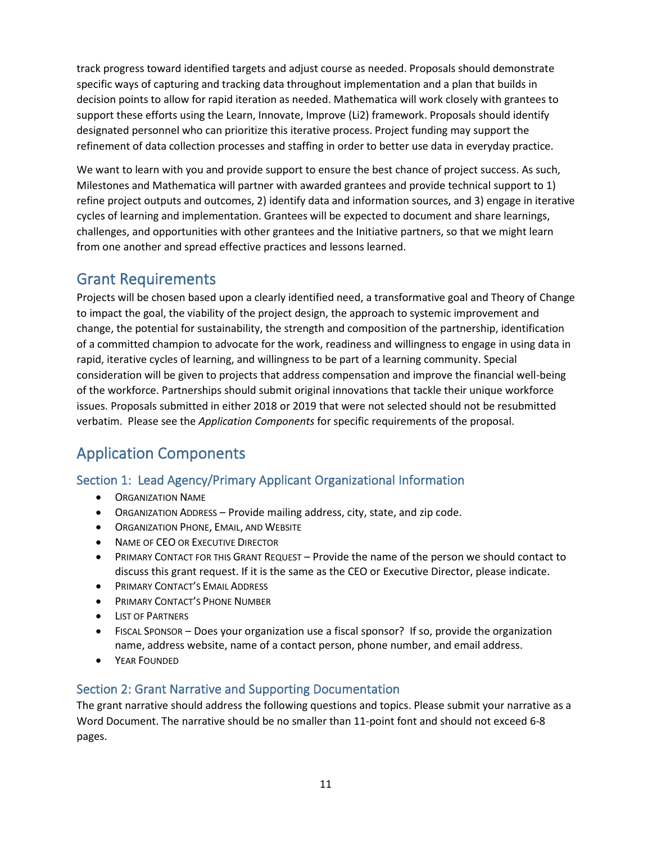track progress toward identified targets and adjust course as needed. Proposals should demonstrate specific ways of capturing and tracking data throughout implementation and a plan that builds in decision points to allow for rapid iteration as needed. Mathematica will work closely with grantees to support these efforts using the Learn, Innovate, Improve (Li2) framework. Proposals should identify designated personnel who can prioritize this iterative process. Project funding may support the refinement of data collection processes and staffing in order to better use data in everyday practice.

We want to learn with you and provide support to ensure the best chance of project success. As such, Milestones and Mathematica will partner with awarded grantees and provide technical support to 1) refine project outputs and outcomes, 2) identify data and information sources, and 3) engage in iterative cycles of learning and implementation. Grantees will be expected to document and share learnings, challenges, and opportunities with other grantees and the Initiative partners, so that we might learn from one another and spread effective practices and lessons learned.

### <span id="page-10-0"></span>Grant Requirements

Projects will be chosen based upon a clearly identified need, a transformative goal and Theory of Change to impact the goal, the viability of the project design, the approach to systemic improvement and change, the potential for sustainability, the strength and composition of the partnership, identification of a committed champion to advocate for the work, readiness and willingness to engage in using data in rapid, iterative cycles of learning, and willingness to be part of a learning community. Special consideration will be given to projects that address compensation and improve the financial well-being of the workforce. Partnerships should submit original innovations that tackle their unique workforce issues. Proposals submitted in either 2018 or 2019 that were not selected should not be resubmitted verbatim. Please see the *Application Components* for specific requirements of the proposal.

# <span id="page-10-1"></span>Application Components

### <span id="page-10-2"></span>Section 1: Lead Agency/Primary Applicant Organizational Information

- ORGANIZATION NAME
- ORGANIZATION ADDRESS Provide mailing address, city, state, and zip code.
- ORGANIZATION PHONE, EMAIL, AND WEBSITE
- NAME OF CEO OR EXECUTIVE DIRECTOR
- PRIMARY CONTACT FOR THIS GRANT REQUEST Provide the name of the person we should contact to discuss this grant request. If it is the same as the CEO or Executive Director, please indicate.
- **PRIMARY CONTACT'S EMAIL ADDRESS**
- PRIMARY CONTACT'S PHONE NUMBER
- **LIST OF PARTNERS**
- FISCAL SPONSOR Does your organization use a fiscal sponsor? If so, provide the organization name, address website, name of a contact person, phone number, and email address.
- YEAR FOUNDED

### <span id="page-10-3"></span>Section 2: Grant Narrative and Supporting Documentation

The grant narrative should address the following questions and topics. Please submit your narrative as a Word Document. The narrative should be no smaller than 11-point font and should not exceed 6-8 pages.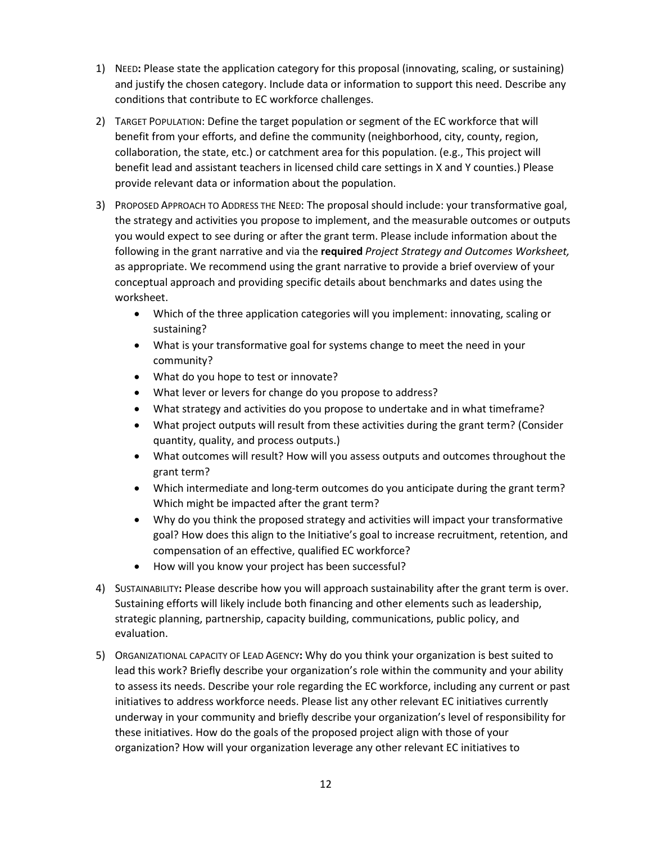- 1) NEED**:** Please state the application category for this proposal (innovating, scaling, or sustaining) and justify the chosen category. Include data or information to support this need. Describe any conditions that contribute to EC workforce challenges.
- 2) TARGET POPULATION: Define the target population or segment of the EC workforce that will benefit from your efforts, and define the community (neighborhood, city, county, region, collaboration, the state, etc.) or catchment area for this population. (e.g., This project will benefit lead and assistant teachers in licensed child care settings in X and Y counties.) Please provide relevant data or information about the population.
- 3) PROPOSED APPROACH TO ADDRESS THE NEED: The proposal should include: your transformative goal, the strategy and activities you propose to implement, and the measurable outcomes or outputs you would expect to see during or after the grant term. Please include information about the following in the grant narrative and via the **required** *Project Strategy and Outcomes Worksheet,* as appropriate. We recommend using the grant narrative to provide a brief overview of your conceptual approach and providing specific details about benchmarks and dates using the worksheet.
	- Which of the three application categories will you implement: innovating, scaling or sustaining?
	- What is your transformative goal for systems change to meet the need in your community?
	- What do you hope to test or innovate?
	- What lever or levers for change do you propose to address?
	- What strategy and activities do you propose to undertake and in what timeframe?
	- What project outputs will result from these activities during the grant term? (Consider quantity, quality, and process outputs.)
	- What outcomes will result? How will you assess outputs and outcomes throughout the grant term?
	- Which intermediate and long-term outcomes do you anticipate during the grant term? Which might be impacted after the grant term?
	- Why do you think the proposed strategy and activities will impact your transformative goal? How does this align to the Initiative's goal to increase recruitment, retention, and compensation of an effective, qualified EC workforce?
	- How will you know your project has been successful?
- 4) SUSTAINABILITY**:** Please describe how you will approach sustainability after the grant term is over. Sustaining efforts will likely include both financing and other elements such as leadership, strategic planning, partnership, capacity building, communications, public policy, and evaluation.
- 5) ORGANIZATIONAL CAPACITY OF LEAD AGENCY**:** Why do you think your organization is best suited to lead this work? Briefly describe your organization's role within the community and your ability to assess its needs. Describe your role regarding the EC workforce, including any current or past initiatives to address workforce needs. Please list any other relevant EC initiatives currently underway in your community and briefly describe your organization's level of responsibility for these initiatives. How do the goals of the proposed project align with those of your organization? How will your organization leverage any other relevant EC initiatives to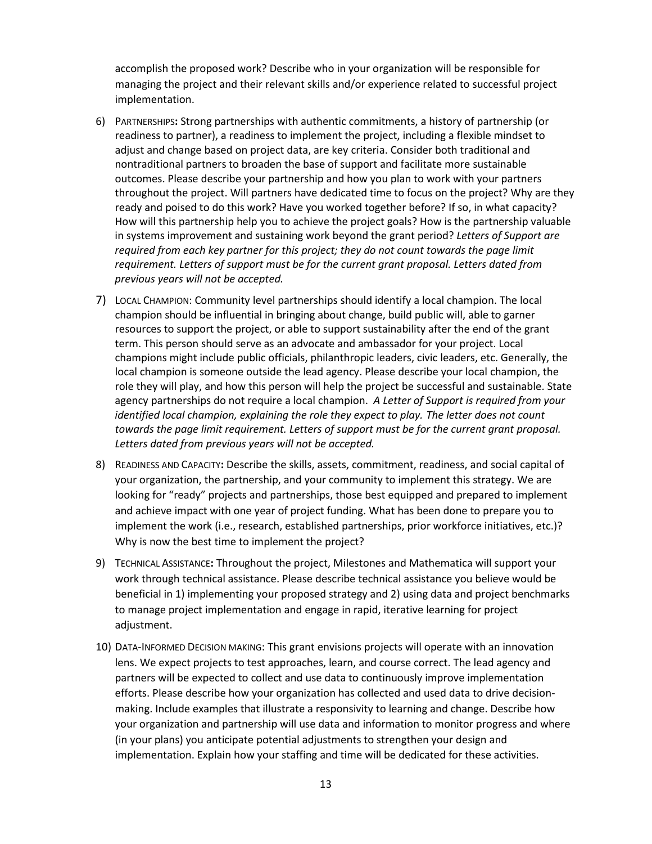accomplish the proposed work? Describe who in your organization will be responsible for managing the project and their relevant skills and/or experience related to successful project implementation.

- 6) PARTNERSHIPS**:** Strong partnerships with authentic commitments, a history of partnership (or readiness to partner), a readiness to implement the project, including a flexible mindset to adjust and change based on project data, are key criteria. Consider both traditional and nontraditional partners to broaden the base of support and facilitate more sustainable outcomes. Please describe your partnership and how you plan to work with your partners throughout the project. Will partners have dedicated time to focus on the project? Why are they ready and poised to do this work? Have you worked together before? If so, in what capacity? How will this partnership help you to achieve the project goals? How is the partnership valuable in systems improvement and sustaining work beyond the grant period? *Letters of Support are required from each key partner for this project; they do not count towards the page limit requirement. Letters of support must be for the current grant proposal. Letters dated from previous years will not be accepted.*
- 7) LOCAL CHAMPION: Community level partnerships should identify a local champion. The local champion should be influential in bringing about change, build public will, able to garner resources to support the project, or able to support sustainability after the end of the grant term. This person should serve as an advocate and ambassador for your project. Local champions might include public officials, philanthropic leaders, civic leaders, etc. Generally, the local champion is someone outside the lead agency. Please describe your local champion, the role they will play, and how this person will help the project be successful and sustainable. State agency partnerships do not require a local champion. *A Letter of Support is required from your identified local champion, explaining the role they expect to play. The letter does not count towards the page limit requirement. Letters of support must be for the current grant proposal. Letters dated from previous years will not be accepted.*
- 8) READINESS AND CAPACITY**:** Describe the skills, assets, commitment, readiness, and social capital of your organization, the partnership, and your community to implement this strategy. We are looking for "ready" projects and partnerships, those best equipped and prepared to implement and achieve impact with one year of project funding. What has been done to prepare you to implement the work (i.e., research, established partnerships, prior workforce initiatives, etc.)? Why is now the best time to implement the project?
- 9) TECHNICAL ASSISTANCE**:** Throughout the project, Milestones and Mathematica will support your work through technical assistance. Please describe technical assistance you believe would be beneficial in 1) implementing your proposed strategy and 2) using data and project benchmarks to manage project implementation and engage in rapid, iterative learning for project adjustment.
- 10) DATA-INFORMED DECISION MAKING: This grant envisions projects will operate with an innovation lens. We expect projects to test approaches, learn, and course correct. The lead agency and partners will be expected to collect and use data to continuously improve implementation efforts. Please describe how your organization has collected and used data to drive decisionmaking. Include examples that illustrate a responsivity to learning and change. Describe how your organization and partnership will use data and information to monitor progress and where (in your plans) you anticipate potential adjustments to strengthen your design and implementation. Explain how your staffing and time will be dedicated for these activities.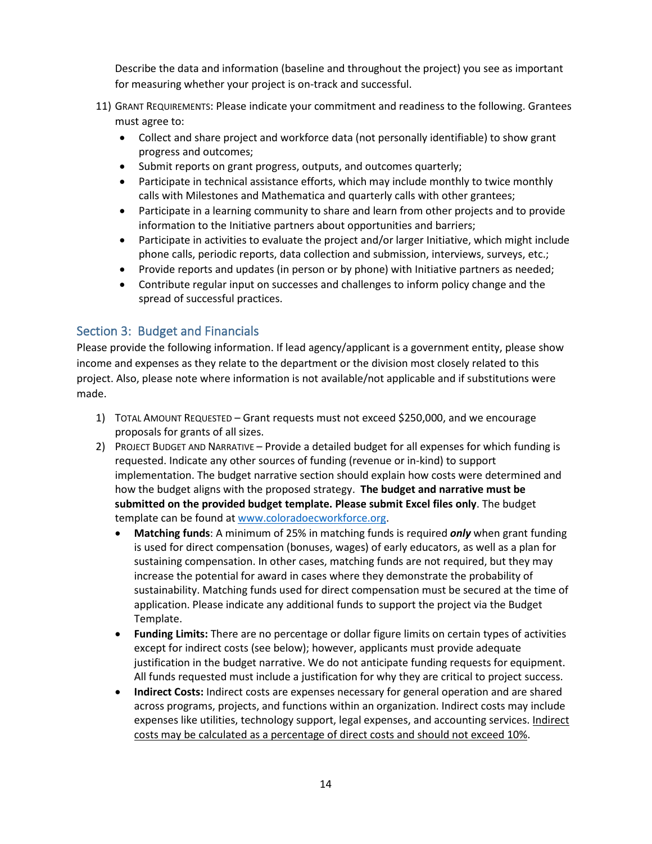Describe the data and information (baseline and throughout the project) you see as important for measuring whether your project is on-track and successful.

- 11) GRANT REQUIREMENTS: Please indicate your commitment and readiness to the following. Grantees must agree to:
	- Collect and share project and workforce data (not personally identifiable) to show grant progress and outcomes;
	- Submit reports on grant progress, outputs, and outcomes quarterly;
	- Participate in technical assistance efforts, which may include monthly to twice monthly calls with Milestones and Mathematica and quarterly calls with other grantees;
	- Participate in a learning community to share and learn from other projects and to provide information to the Initiative partners about opportunities and barriers;
	- Participate in activities to evaluate the project and/or larger Initiative, which might include phone calls, periodic reports, data collection and submission, interviews, surveys, etc.;
	- Provide reports and updates (in person or by phone) with Initiative partners as needed;
	- Contribute regular input on successes and challenges to inform policy change and the spread of successful practices.

#### <span id="page-13-0"></span>Section 3: Budget and Financials

Please provide the following information. If lead agency/applicant is a government entity, please show income and expenses as they relate to the department or the division most closely related to this project. Also, please note where information is not available/not applicable and if substitutions were made.

- 1) TOTAL AMOUNT REQUESTED Grant requests must not exceed \$250,000, and we encourage proposals for grants of all sizes.
- 2) PROJECT BUDGET AND NARRATIVE Provide a detailed budget for all expenses for which funding is requested. Indicate any other sources of funding (revenue or in-kind) to support implementation. The budget narrative section should explain how costs were determined and how the budget aligns with the proposed strategy. **The budget and narrative must be submitted on the provided budget template. Please submit Excel files only**. The budget template can be found a[t www.coloradoecworkforce.org.](http://www.coloradoecworkforce.org/)
	- **Matching funds**: A minimum of 25% in matching funds is required *only* when grant funding is used for direct compensation (bonuses, wages) of early educators, as well as a plan for sustaining compensation. In other cases, matching funds are not required, but they may increase the potential for award in cases where they demonstrate the probability of sustainability. Matching funds used for direct compensation must be secured at the time of application. Please indicate any additional funds to support the project via the Budget Template.
	- **Funding Limits:** There are no percentage or dollar figure limits on certain types of activities except for indirect costs (see below); however, applicants must provide adequate justification in the budget narrative. We do not anticipate funding requests for equipment. All funds requested must include a justification for why they are critical to project success.
	- **Indirect Costs:** Indirect costs are expenses necessary for general operation and are shared across programs, projects, and functions within an organization. Indirect costs may include expenses like utilities, technology support, legal expenses, and accounting services. Indirect costs may be calculated as a percentage of direct costs and should not exceed 10%.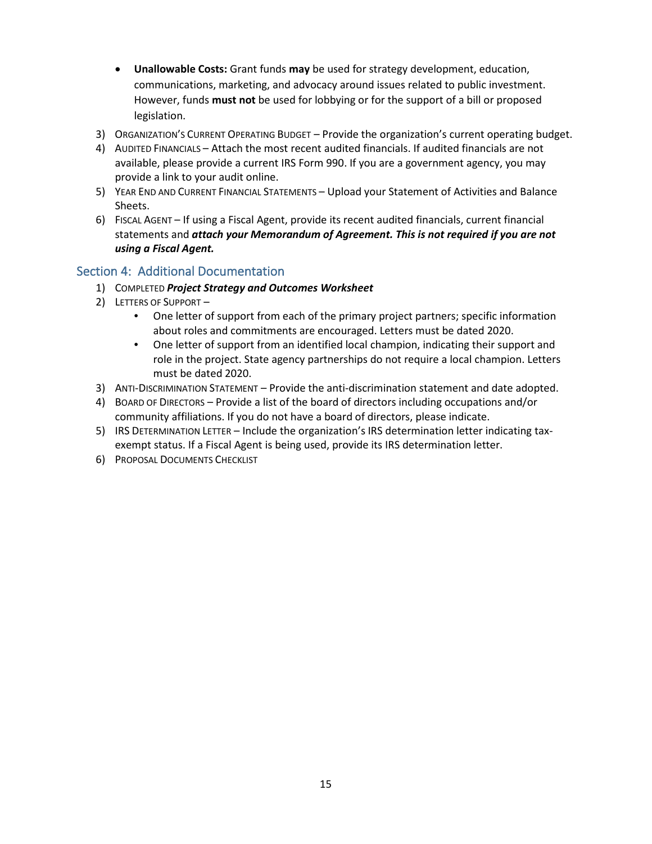- **Unallowable Costs:** Grant funds **may** be used for strategy development, education, communications, marketing, and advocacy around issues related to public investment. However, funds **must not** be used for lobbying or for the support of a bill or proposed legislation.
- 3) ORGANIZATION'S CURRENT OPERATING BUDGET Provide the organization's current operating budget.
- 4) AUDITED FINANCIALS Attach the most recent audited financials. If audited financials are not available, please provide a current IRS Form 990. If you are a government agency, you may provide a link to your audit online.
- 5) YEAR END AND CURRENT FINANCIAL STATEMENTS Upload your Statement of Activities and Balance Sheets.
- 6) FISCAL AGENT If using a Fiscal Agent, provide its recent audited financials, current financial statements and *attach your Memorandum of Agreement. This is not required if you are not using a Fiscal Agent.*

#### <span id="page-14-0"></span>Section 4: Additional Documentation

- 1) COMPLETED *Project Strategy and Outcomes Worksheet*
- 2) LETTERS OF SUPPORT
	- One letter of support from each of the primary project partners; specific information about roles and commitments are encouraged. Letters must be dated 2020.
	- One letter of support from an identified local champion, indicating their support and role in the project. State agency partnerships do not require a local champion. Letters must be dated 2020.
- 3) ANTI-DISCRIMINATION STATEMENT Provide the anti-discrimination statement and date adopted.
- 4) BOARD OF DIRECTORS Provide a list of the board of directors including occupations and/or community affiliations. If you do not have a board of directors, please indicate.
- 5) IRS DETERMINATION LETTER Include the organization's IRS determination letter indicating taxexempt status. If a Fiscal Agent is being used, provide its IRS determination letter.
- 6) PROPOSAL DOCUMENTS CHECKLIST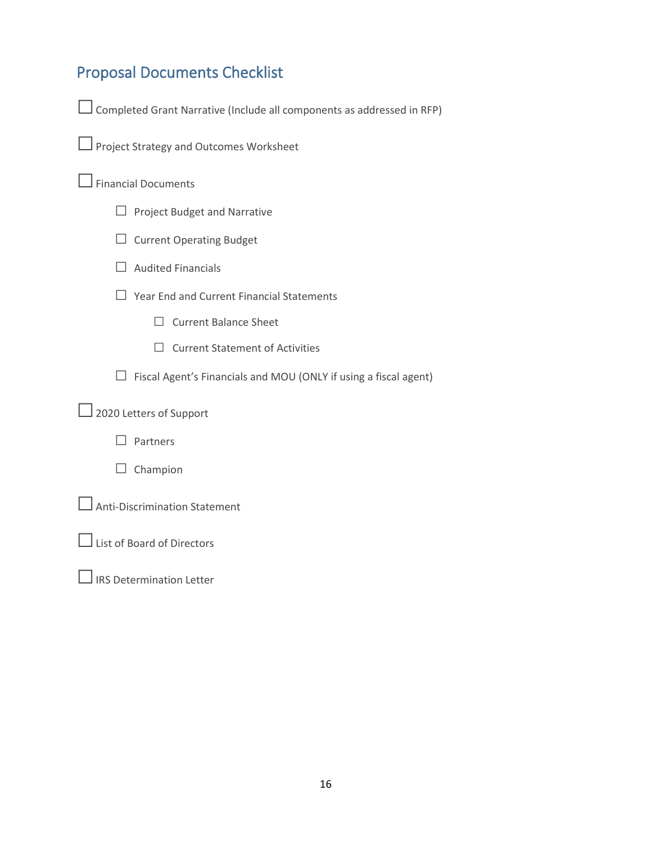# <span id="page-15-0"></span>Proposal Documents Checklist

| $\Box$ Completed Grant Narrative (Include all components as addressed in RFP) |
|-------------------------------------------------------------------------------|
|-------------------------------------------------------------------------------|

| Project Strategy and Outcomes Worksheet |
|-----------------------------------------|
|-----------------------------------------|

### □ Financial Documents

- □ Project Budget and Narrative
- □ Current Operating Budget
- $\Box$  Audited Financials

□ Year End and Current Financial Statements

- □ Current Balance Sheet
- □ Current Statement of Activities

 $\Box$  Fiscal Agent's Financials and MOU (ONLY if using a fiscal agent)

□2020 Letters of Support

□ Partners

□ Champion

□ Anti-Discrimination Statement

□List of Board of Directors

 $\Box$  IRS Determination Letter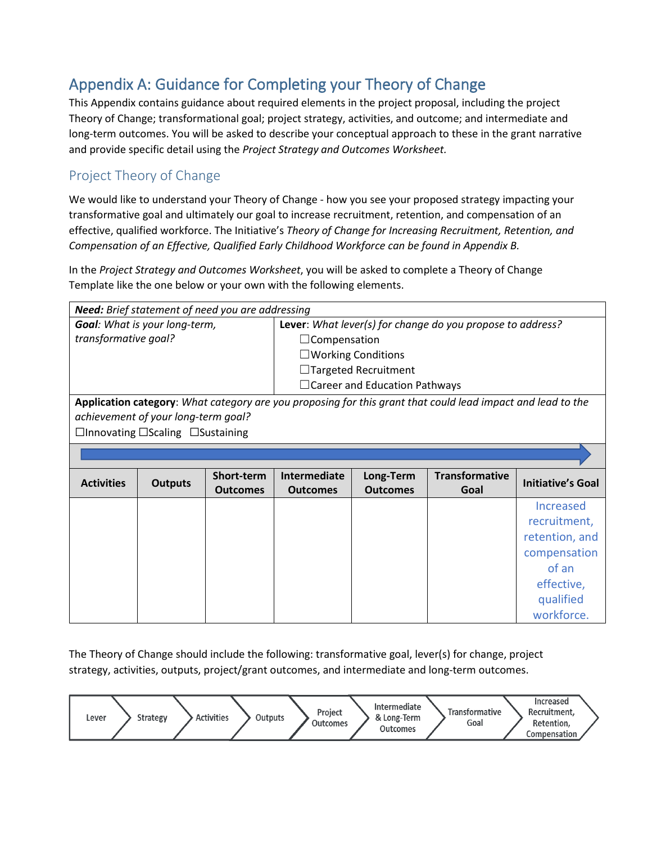# <span id="page-16-0"></span>Appendix A: Guidance for Completing your Theory of Change

This Appendix contains guidance about required elements in the project proposal, including the project Theory of Change; transformational goal; project strategy, activities, and outcome; and intermediate and long-term outcomes. You will be asked to describe your conceptual approach to these in the grant narrative and provide specific detail using the *Project Strategy and Outcomes Worksheet.*

### Project Theory of Change

We would like to understand your Theory of Change - how you see your proposed strategy impacting your transformative goal and ultimately our goal to increase recruitment, retention, and compensation of an effective, qualified workforce. The Initiative's *Theory of Change for Increasing Recruitment, Retention, and Compensation of an Effective, Qualified Early Childhood Workforce can be found in Appendix B.*

In the *Project Strategy and Outcomes Worksheet*, you will be asked to complete a Theory of Change Template like the one below or your own with the following elements.

| <b>Need:</b> Brief statement of need you are addressing |                                                    |                 |                                                            |                                      |                                                                                                             |                          |
|---------------------------------------------------------|----------------------------------------------------|-----------------|------------------------------------------------------------|--------------------------------------|-------------------------------------------------------------------------------------------------------------|--------------------------|
|                                                         | <b>Goal:</b> What is your long-term,               |                 | Lever: What lever(s) for change do you propose to address? |                                      |                                                                                                             |                          |
| transformative goal?                                    |                                                    |                 | $\Box$ Compensation                                        |                                      |                                                                                                             |                          |
|                                                         |                                                    |                 |                                                            | $\square$ Working Conditions         |                                                                                                             |                          |
|                                                         |                                                    |                 |                                                            | $\Box$ Targeted Recruitment          |                                                                                                             |                          |
|                                                         |                                                    |                 |                                                            | $\Box$ Career and Education Pathways |                                                                                                             |                          |
|                                                         |                                                    |                 |                                                            |                                      | Application category: What category are you proposing for this grant that could lead impact and lead to the |                          |
|                                                         | achievement of your long-term goal?                |                 |                                                            |                                      |                                                                                                             |                          |
|                                                         | $\Box$ Innovating $\Box$ Scaling $\Box$ Sustaining |                 |                                                            |                                      |                                                                                                             |                          |
|                                                         |                                                    |                 |                                                            |                                      |                                                                                                             |                          |
|                                                         |                                                    |                 |                                                            |                                      |                                                                                                             |                          |
|                                                         |                                                    |                 |                                                            |                                      |                                                                                                             |                          |
|                                                         |                                                    | Short-term      | Intermediate                                               | Long-Term                            | <b>Transformative</b>                                                                                       |                          |
| <b>Activities</b>                                       | <b>Outputs</b>                                     | <b>Outcomes</b> | <b>Outcomes</b>                                            | <b>Outcomes</b>                      | Goal                                                                                                        | <b>Initiative's Goal</b> |
|                                                         |                                                    |                 |                                                            |                                      |                                                                                                             | Increased                |
|                                                         |                                                    |                 |                                                            |                                      |                                                                                                             | recruitment,             |
|                                                         |                                                    |                 |                                                            |                                      |                                                                                                             | retention, and           |
|                                                         |                                                    |                 |                                                            |                                      |                                                                                                             |                          |
|                                                         |                                                    |                 |                                                            |                                      |                                                                                                             | compensation<br>of an    |
|                                                         |                                                    |                 |                                                            |                                      |                                                                                                             |                          |
|                                                         |                                                    |                 |                                                            |                                      |                                                                                                             | effective,               |
|                                                         |                                                    |                 |                                                            |                                      |                                                                                                             | qualified<br>workforce.  |

The Theory of Change should include the following: transformative goal, lever(s) for change, project strategy, activities, outputs, project/grant outcomes, and intermediate and long-term outcomes.

| <b>Activities</b><br><b>Strategy</b><br>Lever | Project<br>Outputs<br>Outcomes | Intermediate<br><b>Transformative</b><br>& Long-Term<br>Goal<br><b>Outcomes</b> | Increased<br>Recruitment.<br>Retention,<br>Compensation |
|-----------------------------------------------|--------------------------------|---------------------------------------------------------------------------------|---------------------------------------------------------|
|-----------------------------------------------|--------------------------------|---------------------------------------------------------------------------------|---------------------------------------------------------|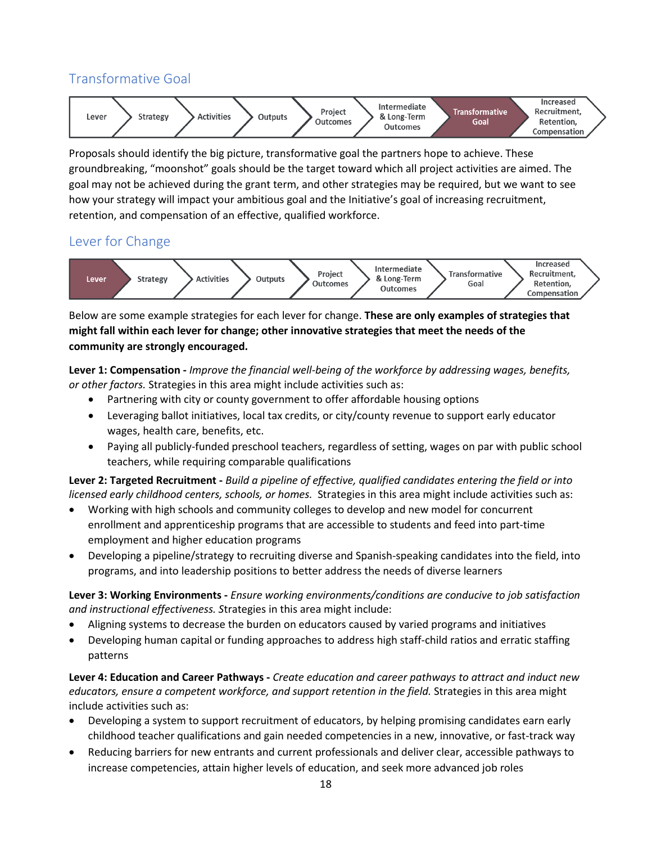### Transformative Goal



Proposals should identify the big picture, transformative goal the partners hope to achieve. These groundbreaking, "moonshot" goals should be the target toward which all project activities are aimed. The goal may not be achieved during the grant term, and other strategies may be required, but we want to see how your strategy will impact your ambitious goal and the Initiative's goal of increasing recruitment, retention, and compensation of an effective, qualified workforce.

### Lever for Change



Below are some example strategies for each lever for change. **These are only examples of strategies that might fall within each lever for change; other innovative strategies that meet the needs of the community are strongly encouraged.** 

**Lever 1: Compensation -** *Improve the financial well-being of the workforce by addressing wages, benefits, or other factors.* Strategies in this area might include activities such as:

- Partnering with city or county government to offer affordable housing options
- Leveraging ballot initiatives, local tax credits, or city/county revenue to support early educator wages, health care, benefits, etc.
- Paying all publicly-funded preschool teachers, regardless of setting, wages on par with public school teachers, while requiring comparable qualifications

**Lever 2: Targeted Recruitment -** *Build a pipeline of effective, qualified candidates entering the field or into licensed early childhood centers, schools, or homes.* Strategies in this area might include activities such as:

- Working with high schools and community colleges to develop and new model for concurrent enrollment and apprenticeship programs that are accessible to students and feed into part-time employment and higher education programs
- Developing a pipeline/strategy to recruiting diverse and Spanish-speaking candidates into the field, into programs, and into leadership positions to better address the needs of diverse learners

**Lever 3: Working Environments -** *Ensure working environments/conditions are conducive to job satisfaction and instructional effectiveness. S*trategies in this area might include:

- Aligning systems to decrease the burden on educators caused by varied programs and initiatives
- Developing human capital or funding approaches to address high staff-child ratios and erratic staffing patterns

**Lever 4: Education and Career Pathways -** *Create education and career pathways to attract and induct new educators, ensure a competent workforce, and support retention in the field.* Strategies in this area might include activities such as:

- Developing a system to support recruitment of educators, by helping promising candidates earn early childhood teacher qualifications and gain needed competencies in a new, innovative, or fast-track way
- Reducing barriers for new entrants and current professionals and deliver clear, accessible pathways to increase competencies, attain higher levels of education, and seek more advanced job roles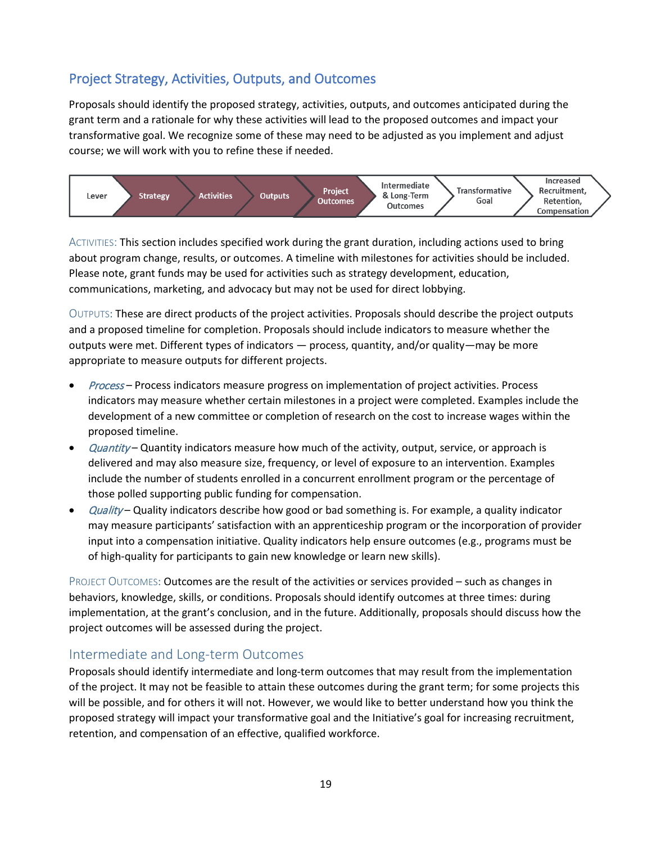### Project Strategy, Activities, Outputs, and Outcomes

Proposals should identify the proposed strategy, activities, outputs, and outcomes anticipated during the grant term and a rationale for why these activities will lead to the proposed outcomes and impact your transformative goal. We recognize some of these may need to be adjusted as you implement and adjust course; we will work with you to refine these if needed.



ACTIVITIES: This section includes specified work during the grant duration, including actions used to bring about program change, results, or outcomes. A timeline with milestones for activities should be included. Please note, grant funds may be used for activities such as strategy development, education, communications, marketing, and advocacy but may not be used for direct lobbying.

OUTPUTS: These are direct products of the project activities. Proposals should describe the project outputs and a proposed timeline for completion. Proposals should include indicators to measure whether the outputs were met. Different types of indicators — process, quantity, and/or quality—may be more appropriate to measure outputs for different projects.

- Process Process indicators measure progress on implementation of project activities. Process indicators may measure whether certain milestones in a project were completed. Examples include the development of a new committee or completion of research on the cost to increase wages within the proposed timeline.
- Quantity Quantity indicators measure how much of the activity, output, service, or approach is delivered and may also measure size, frequency, or level of exposure to an intervention. Examples include the number of students enrolled in a concurrent enrollment program or the percentage of those polled supporting public funding for compensation.
- Quality Quality indicators describe how good or bad something is. For example, a quality indicator may measure participants' satisfaction with an apprenticeship program or the incorporation of provider input into a compensation initiative. Quality indicators help ensure outcomes (e.g., programs must be of high-quality for participants to gain new knowledge or learn new skills).

PROJECT OUTCOMES: Outcomes are the result of the activities or services provided – such as changes in behaviors, knowledge, skills, or conditions. Proposals should identify outcomes at three times: during implementation, at the grant's conclusion, and in the future. Additionally, proposals should discuss how the project outcomes will be assessed during the project.

#### Intermediate and Long-term Outcomes

Proposals should identify intermediate and long-term outcomes that may result from the implementation of the project. It may not be feasible to attain these outcomes during the grant term; for some projects this will be possible, and for others it will not. However, we would like to better understand how you think the proposed strategy will impact your transformative goal and the Initiative's goal for increasing recruitment, retention, and compensation of an effective, qualified workforce.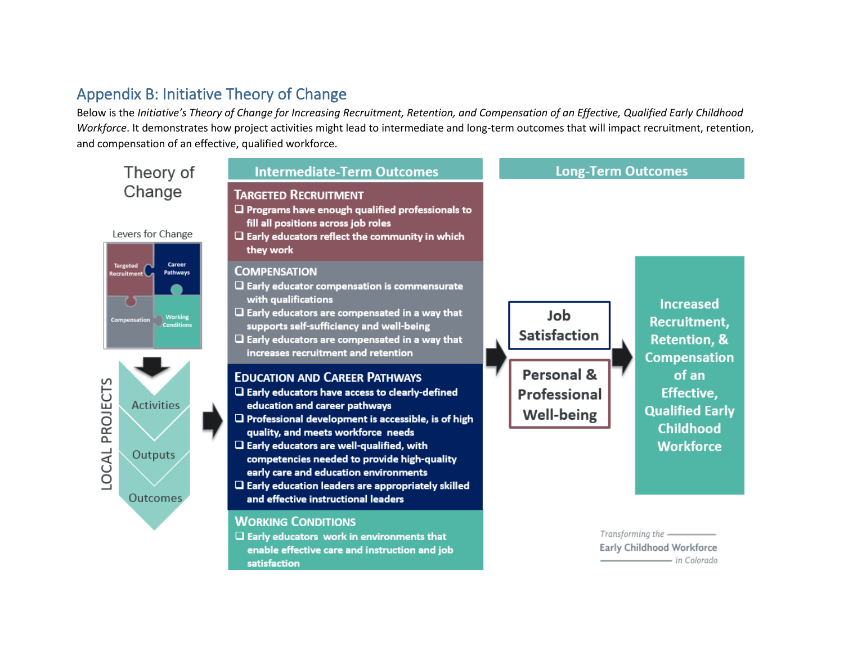# Appendix B: Initiative Theory of Change

Below is the *Initiative's Theory of Change for Increasing Recruitment, Retention, and Compensation of an Effective, Qualified Early Childhood Workforce*. It demonstrates how project activities might lead to intermediate and long-term outcomes that will impact recruitment, retention, and compensation of an effective, qualified workforce.

<span id="page-19-0"></span>